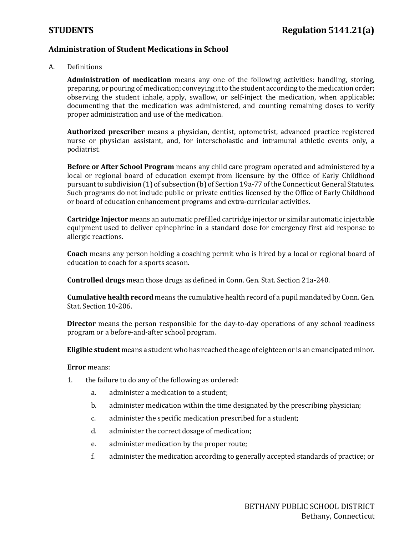### **Administration of Student Medications in School**

A. Definitions

**Administration of medication** means any one of the following activities: handling, storing, preparing, or pouring of medication; conveying it to the student according to the medication order; observing the student inhale, apply, swallow, or self-inject the medication, when applicable; documenting that the medication was administered, and counting remaining doses to verify proper administration and use of the medication.

**Authorized prescriber** means a physician, dentist, optometrist, advanced practice registered nurse or physician assistant, and, for interscholastic and intramural athletic events only, a podiatrist.

**Before or After School Program** means any child care program operated and administered by a local or regional board of education exempt from licensure by the Office of Early Childhood pursuant to subdivision (1) of subsection (b) of Section 19a-77 of the Connecticut General Statutes. Such programs do not include public or private entities licensed by the Office of Early Childhood or board of education enhancement programs and extra-curricular activities.

**Cartridge Injector** means an automatic prefilled cartridge injector or similar automatic injectable equipment used to deliver epinephrine in a standard dose for emergency first aid response to allergic reactions.

**Coach** means any person holding a coaching permit who is hired by a local or regional board of education to coach for a sports season.

**Controlled drugs** mean those drugs as defined in Conn. Gen. Stat. Section 21a-240.

**Cumulative health record** means the cumulative health record of a pupil mandated by Conn. Gen. Stat. Section 10-206.

**Director** means the person responsible for the day-to-day operations of any school readiness program or a before-and-after school program.

**Eligible student** means a student who has reached the age of eighteen or is an emancipated minor.

### **Error** means:

- 1. the failure to do any of the following as ordered:
	- a. administer a medication to a student;
	- b. administer medication within the time designated by the prescribing physician;
	- c. administer the specific medication prescribed for a student;
	- d. administer the correct dosage of medication;
	- e. administer medication by the proper route;
	- f. administer the medication according to generally accepted standards of practice; or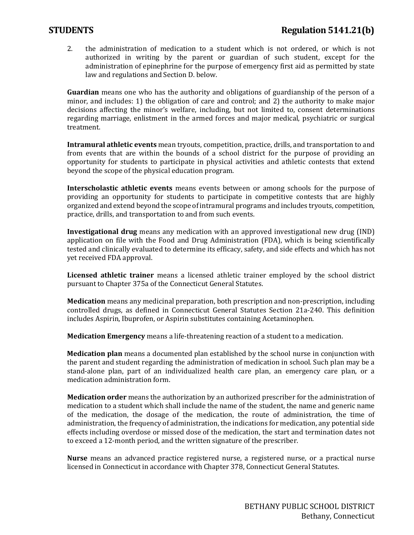2. the administration of medication to a student which is not ordered, or which is not authorized in writing by the parent or guardian of such student, except for the administration of epinephrine for the purpose of emergency first aid as permitted by state law and regulations and Section D. below.

**Guardian** means one who has the authority and obligations of guardianship of the person of a minor, and includes: 1) the obligation of care and control; and 2) the authority to make major decisions affecting the minor's welfare, including, but not limited to, consent determinations regarding marriage, enlistment in the armed forces and major medical, psychiatric or surgical treatment.

**Intramural athletic events** mean tryouts, competition, practice, drills, and transportation to and from events that are within the bounds of a school district for the purpose of providing an opportunity for students to participate in physical activities and athletic contests that extend beyond the scope of the physical education program.

**Interscholastic athletic events** means events between or among schools for the purpose of providing an opportunity for students to participate in competitive contests that are highly organized and extend beyond the scope of intramural programs and includes tryouts, competition, practice, drills, and transportation to and from such events.

**Investigational drug** means any medication with an approved investigational new drug (IND) application on file with the Food and Drug Administration (FDA), which is being scientifically tested and clinically evaluated to determine its efficacy, safety, and side effects and which has not yet received FDA approval.

**Licensed athletic trainer** means a licensed athletic trainer employed by the school district pursuant to Chapter 375a of the Connecticut General Statutes.

**Medication** means any medicinal preparation, both prescription and non-prescription, including controlled drugs, as defined in Connecticut General Statutes Section 21a-240. This definition includes Aspirin, Ibuprofen, or Aspirin substitutes containing Acetaminophen.

**Medication Emergency** means a life-threatening reaction of a student to a medication.

**Medication plan** means a documented plan established by the school nurse in conjunction with the parent and student regarding the administration of medication in school. Such plan may be a stand-alone plan, part of an individualized health care plan, an emergency care plan, or a medication administration form.

**Medication order** means the authorization by an authorized prescriber for the administration of medication to a student which shall include the name of the student, the name and generic name of the medication, the dosage of the medication, the route of administration, the time of administration, the frequency of administration, the indications for medication, any potential side effects including overdose or missed dose of the medication, the start and termination dates not to exceed a 12-month period, and the written signature of the prescriber.

**Nurse** means an advanced practice registered nurse, a registered nurse, or a practical nurse licensed in Connecticut in accordance with Chapter 378, Connecticut General Statutes.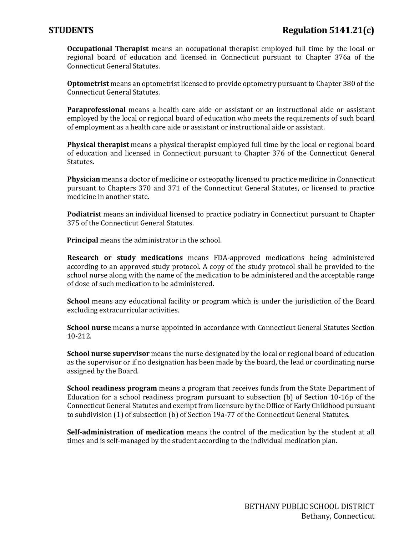**Occupational Therapist** means an occupational therapist employed full time by the local or regional board of education and licensed in Connecticut pursuant to Chapter 376a of the Connecticut General Statutes.

**Optometrist** means an optometrist licensed to provide optometry pursuant to Chapter 380 of the Connecticut General Statutes.

**Paraprofessional** means a health care aide or assistant or an instructional aide or assistant employed by the local or regional board of education who meets the requirements of such board of employment as a health care aide or assistant or instructional aide or assistant.

**Physical therapist** means a physical therapist employed full time by the local or regional board of education and licensed in Connecticut pursuant to Chapter 376 of the Connecticut General Statutes.

**Physician** means a doctor of medicine or osteopathy licensed to practice medicine in Connecticut pursuant to Chapters 370 and 371 of the Connecticut General Statutes, or licensed to practice medicine in another state.

**Podiatrist** means an individual licensed to practice podiatry in Connecticut pursuant to Chapter 375 of the Connecticut General Statutes.

**Principal** means the administrator in the school.

**Research or study medications** means FDA-approved medications being administered according to an approved study protocol. A copy of the study protocol shall be provided to the school nurse along with the name of the medication to be administered and the acceptable range of dose of such medication to be administered.

**School** means any educational facility or program which is under the jurisdiction of the Board excluding extracurricular activities.

**School nurse** means a nurse appointed in accordance with Connecticut General Statutes Section 10-212.

**School nurse supervisor** means the nurse designated by the local or regional board of education as the supervisor or if no designation has been made by the board, the lead or coordinating nurse assigned by the Board.

**School readiness program** means a program that receives funds from the State Department of Education for a school readiness program pursuant to subsection (b) of Section 10-16p of the Connecticut General Statutes and exempt from licensure by the Office of Early Childhood pursuant to subdivision (1) of subsection (b) of Section 19a-77 of the Connecticut General Statutes.

**Self-administration of medication** means the control of the medication by the student at all times and is self-managed by the student according to the individual medication plan.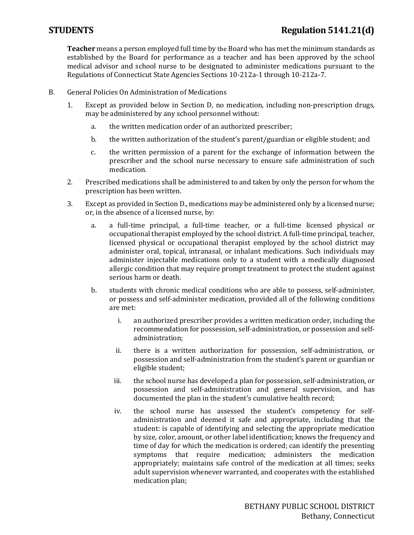**Teacher** means a person employed full time by the Board who has met the minimum standards as established by the Board for performance as a teacher and has been approved by the school medical advisor and school nurse to be designated to administer medications pursuant to the Regulations of Connecticut State Agencies Sections 10-212a-1 through 10-212a-7.

- B. General Policies On Administration of Medications
	- 1. Except as provided below in Section D, no medication, including non-prescription drugs, may be administered by any school personnel without:
		- a. the written medication order of an authorized prescriber;
		- b. the written authorization of the student's parent/guardian or eligible student; and
		- c. the written permission of a parent for the exchange of information between the prescriber and the school nurse necessary to ensure safe administration of such medication.
	- 2. Prescribed medications shall be administered to and taken by only the person for whom the prescription has been written.
	- 3. Except as provided in Section D., medications may be administered only by a licensed nurse; or, in the absence of a licensed nurse, by:
		- a. a full-time principal, a full-time teacher, or a full-time licensed physical or occupational therapist employed by the school district. A full-time principal, teacher, licensed physical or occupational therapist employed by the school district may administer oral, topical, intranasal, or inhalant medications. Such individuals may administer injectable medications only to a student with a medically diagnosed allergic condition that may require prompt treatment to protect the student against serious harm or death.
		- b. students with chronic medical conditions who are able to possess, self-administer, or possess and self-administer medication, provided all of the following conditions are met:
			- i. an authorized prescriber provides a written medication order, including the recommendation for possession, self-administration, or possession and selfadministration;
			- ii. there is a written authorization for possession, self-administration, or possession and self-administration from the student's parent or guardian or eligible student;
			- iii. the school nurse has developed a plan for possession, self-administration, or possession and self-administration and general supervision, and has documented the plan in the student's cumulative health record;
			- iv. the school nurse has assessed the student's competency for selfadministration and deemed it safe and appropriate, including that the student: is capable of identifying and selecting the appropriate medication by size, color, amount, or other label identification; knows the frequency and time of day for which the medication is ordered; can identify the presenting symptoms that require medication; administers the medication appropriately; maintains safe control of the medication at all times; seeks adult supervision whenever warranted, and cooperates with the established medication plan;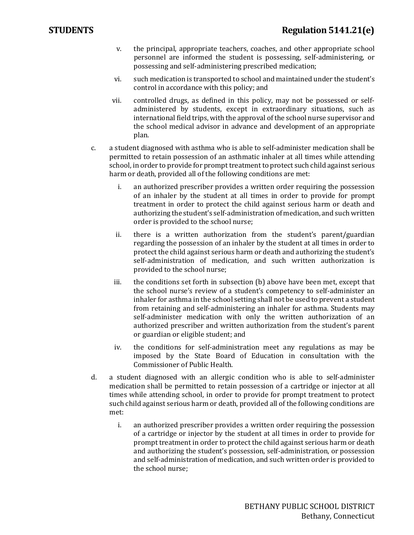- v. the principal, appropriate teachers, coaches, and other appropriate school personnel are informed the student is possessing, self-administering, or possessing and self-administering prescribed medication;
- vi. such medication is transported to school and maintained under the student's control in accordance with this policy; and
- vii. controlled drugs, as defined in this policy, may not be possessed or selfadministered by students, except in extraordinary situations, such as international field trips, with the approval of the school nurse supervisor and the school medical advisor in advance and development of an appropriate plan.
- c. a student diagnosed with asthma who is able to self-administer medication shall be permitted to retain possession of an asthmatic inhaler at all times while attending school, in order to provide for prompt treatment to protect such child against serious harm or death, provided all of the following conditions are met:
	- i. an authorized prescriber provides a written order requiring the possession of an inhaler by the student at all times in order to provide for prompt treatment in order to protect the child against serious harm or death and authorizing the student's self-administration of medication, and such written order is provided to the school nurse;
	- ii. there is a written authorization from the student's parent/guardian regarding the possession of an inhaler by the student at all times in order to protect the child against serious harm or death and authorizing the student's self-administration of medication, and such written authorization is provided to the school nurse;
	- iii. the conditions set forth in subsection (b) above have been met, except that the school nurse's review of a student's competency to self-administer an inhaler for asthma in the school setting shall not be used to prevent a student from retaining and self-administering an inhaler for asthma. Students may self-administer medication with only the written authorization of an authorized prescriber and written authorization from the student's parent or guardian or eligible student; and
	- iv. the conditions for self-administration meet any regulations as may be imposed by the State Board of Education in consultation with the Commissioner of Public Health.
- d. a student diagnosed with an allergic condition who is able to self-administer medication shall be permitted to retain possession of a cartridge or injector at all times while attending school, in order to provide for prompt treatment to protect such child against serious harm or death, provided all of the following conditions are met:
	- i. an authorized prescriber provides a written order requiring the possession of a cartridge or injector by the student at all times in order to provide for prompt treatment in order to protect the child against serious harm or death and authorizing the student's possession, self-administration, or possession and self-administration of medication, and such written order is provided to the school nurse;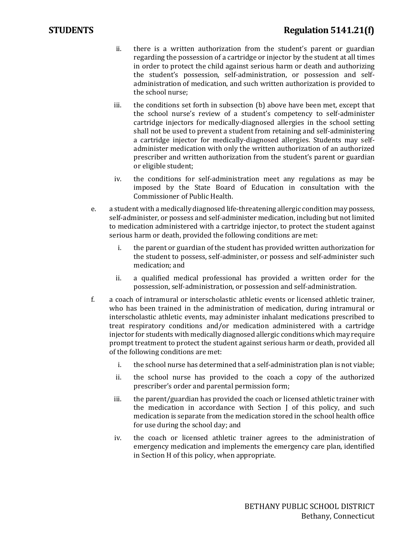- ii. there is a written authorization from the student's parent or guardian regarding the possession of a cartridge or injector by the student at all times in order to protect the child against serious harm or death and authorizing the student's possession, self-administration, or possession and selfadministration of medication, and such written authorization is provided to the school nurse;
- iii. the conditions set forth in subsection (b) above have been met, except that the school nurse's review of a student's competency to self-administer cartridge injectors for medically-diagnosed allergies in the school setting shall not be used to prevent a student from retaining and self-administering a cartridge injector for medically-diagnosed allergies. Students may selfadminister medication with only the written authorization of an authorized prescriber and written authorization from the student's parent or guardian or eligible student;
- iv. the conditions for self-administration meet any regulations as may be imposed by the State Board of Education in consultation with the Commissioner of Public Health.
- e. a student with a medically diagnosed life-threatening allergic condition may possess, self-administer, or possess and self-administer medication, including but not limited to medication administered with a cartridge injector, to protect the student against serious harm or death, provided the following conditions are met:
	- i. the parent or guardian of the student has provided written authorization for the student to possess, self-administer, or possess and self-administer such medication; and
	- ii. a qualified medical professional has provided a written order for the possession, self-administration, or possession and self-administration.
- f. a coach of intramural or interscholastic athletic events or licensed athletic trainer, who has been trained in the administration of medication, during intramural or interscholastic athletic events, may administer inhalant medications prescribed to treat respiratory conditions and/or medication administered with a cartridge injector for students with medically diagnosed allergic conditions which may require prompt treatment to protect the student against serious harm or death, provided all of the following conditions are met:
	- i. the school nurse has determined that a self-administration plan is not viable;
	- ii. the school nurse has provided to the coach a copy of the authorized prescriber's order and parental permission form;
	- iii. the parent/guardian has provided the coach or licensed athletic trainer with the medication in accordance with Section J of this policy, and such medication is separate from the medication stored in the school health office for use during the school day; and
	- iv. the coach or licensed athletic trainer agrees to the administration of emergency medication and implements the emergency care plan, identified in Section H of this policy, when appropriate.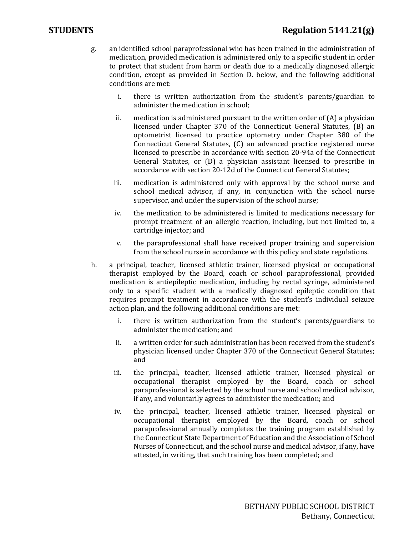# **STUDENTS Regulation 5141.21(g)**

- g. an identified school paraprofessional who has been trained in the administration of medication, provided medication is administered only to a specific student in order to protect that student from harm or death due to a medically diagnosed allergic condition, except as provided in Section D. below, and the following additional conditions are met:
	- i. there is written authorization from the student's parents/guardian to administer the medication in school;
	- ii. medication is administered pursuant to the written order of  $(A)$  a physician licensed under Chapter 370 of the Connecticut General Statutes, (B) an optometrist licensed to practice optometry under Chapter 380 of the Connecticut General Statutes, (C) an advanced practice registered nurse licensed to prescribe in accordance with section 20-94a of the Connecticut General Statutes, or (D) a physician assistant licensed to prescribe in accordance with section 20-12d of the Connecticut General Statutes;
	- iii. medication is administered only with approval by the school nurse and school medical advisor, if any, in conjunction with the school nurse supervisor, and under the supervision of the school nurse;
	- iv. the medication to be administered is limited to medications necessary for prompt treatment of an allergic reaction, including, but not limited to, a cartridge injector; and
	- v. the paraprofessional shall have received proper training and supervision from the school nurse in accordance with this policy and state regulations.
- h. a principal, teacher, licensed athletic trainer, licensed physical or occupational therapist employed by the Board, coach or school paraprofessional, provided medication is antiepileptic medication, including by rectal syringe, administered only to a specific student with a medically diagnosed epileptic condition that requires prompt treatment in accordance with the student's individual seizure action plan, and the following additional conditions are met:
	- i. there is written authorization from the student's parents/guardians to administer the medication; and
	- ii. a written order for such administration has been received from the student's physician licensed under Chapter 370 of the Connecticut General Statutes; and
	- iii. the principal, teacher, licensed athletic trainer, licensed physical or occupational therapist employed by the Board, coach or school paraprofessional is selected by the school nurse and school medical advisor, if any, and voluntarily agrees to administer the medication; and
	- iv. the principal, teacher, licensed athletic trainer, licensed physical or occupational therapist employed by the Board, coach or school paraprofessional annually completes the training program established by the Connecticut State Department of Education and the Association of School Nurses of Connecticut, and the school nurse and medical advisor, if any, have attested, in writing, that such training has been completed; and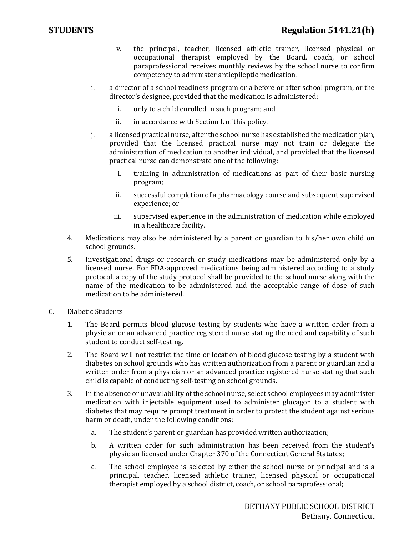- v. the principal, teacher, licensed athletic trainer, licensed physical or occupational therapist employed by the Board, coach, or school paraprofessional receives monthly reviews by the school nurse to confirm competency to administer antiepileptic medication.
- i. a director of a school readiness program or a before or after school program, or the director's designee, provided that the medication is administered:
	- i. only to a child enrolled in such program; and
	- ii. in accordance with Section L of this policy.
- j. a licensed practical nurse, after the school nurse has established the medication plan, provided that the licensed practical nurse may not train or delegate the administration of medication to another individual, and provided that the licensed practical nurse can demonstrate one of the following:
	- i. training in administration of medications as part of their basic nursing program;
	- ii. successful completion of a pharmacology course and subsequent supervised experience; or
	- iii. supervised experience in the administration of medication while employed in a healthcare facility.
- 4. Medications may also be administered by a parent or guardian to his/her own child on school grounds.
- 5. Investigational drugs or research or study medications may be administered only by a licensed nurse. For FDA-approved medications being administered according to a study protocol, a copy of the study protocol shall be provided to the school nurse along with the name of the medication to be administered and the acceptable range of dose of such medication to be administered.
- C. Diabetic Students
	- 1. The Board permits blood glucose testing by students who have a written order from a physician or an advanced practice registered nurse stating the need and capability of such student to conduct self-testing.
	- 2. The Board will not restrict the time or location of blood glucose testing by a student with diabetes on school grounds who has written authorization from a parent or guardian and a written order from a physician or an advanced practice registered nurse stating that such child is capable of conducting self-testing on school grounds.
	- 3. In the absence or unavailability of the school nurse, select school employees may administer medication with injectable equipment used to administer glucagon to a student with diabetes that may require prompt treatment in order to protect the student against serious harm or death, under the following conditions:
		- a. The student's parent or guardian has provided written authorization;
		- b. A written order for such administration has been received from the student's physician licensed under Chapter 370 of the Connecticut General Statutes;
		- c. The school employee is selected by either the school nurse or principal and is a principal, teacher, licensed athletic trainer, licensed physical or occupational therapist employed by a school district, coach, or school paraprofessional;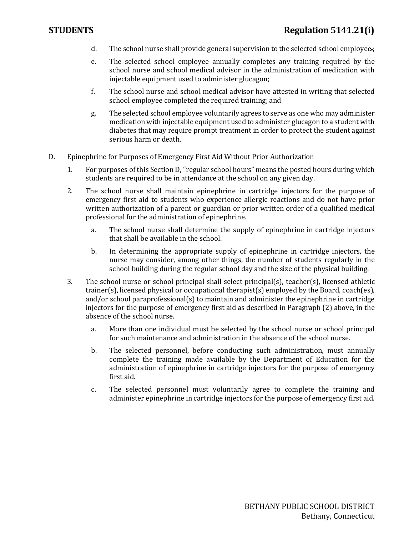- d. The school nurse shall provide general supervision to the selected school employee.;
- e. The selected school employee annually completes any training required by the school nurse and school medical advisor in the administration of medication with injectable equipment used to administer glucagon;
- f. The school nurse and school medical advisor have attested in writing that selected school employee completed the required training; and
- g. The selected school employee voluntarily agrees to serve as one who may administer medication with injectable equipment used to administer glucagon to a student with diabetes that may require prompt treatment in order to protect the student against serious harm or death.
- D. Epinephrine for Purposes of Emergency First Aid Without Prior Authorization
	- 1. For purposes of this Section D, "regular school hours" means the posted hours during which students are required to be in attendance at the school on any given day.
	- 2. The school nurse shall maintain epinephrine in cartridge injectors for the purpose of emergency first aid to students who experience allergic reactions and do not have prior written authorization of a parent or guardian or prior written order of a qualified medical professional for the administration of epinephrine.
		- a. The school nurse shall determine the supply of epinephrine in cartridge injectors that shall be available in the school.
		- b. In determining the appropriate supply of epinephrine in cartridge injectors, the nurse may consider, among other things, the number of students regularly in the school building during the regular school day and the size of the physical building.
	- 3. The school nurse or school principal shall select principal(s), teacher(s), licensed athletic trainer(s), licensed physical or occupational therapist(s) employed by the Board, coach(es), and/or school paraprofessional(s) to maintain and administer the epinephrine in cartridge injectors for the purpose of emergency first aid as described in Paragraph (2) above, in the absence of the school nurse.
		- a. More than one individual must be selected by the school nurse or school principal for such maintenance and administration in the absence of the school nurse.
		- b. The selected personnel, before conducting such administration, must annually complete the training made available by the Department of Education for the administration of epinephrine in cartridge injectors for the purpose of emergency first aid.
		- c. The selected personnel must voluntarily agree to complete the training and administer epinephrine in cartridge injectors for the purpose of emergency first aid.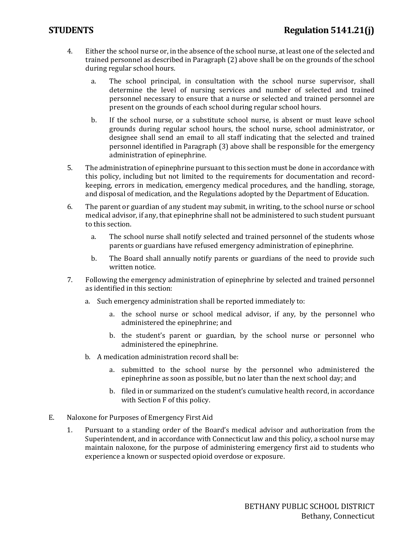- 4. Either the school nurse or, in the absence of the school nurse, at least one of the selected and trained personnel as described in Paragraph (2) above shall be on the grounds of the school during regular school hours.
	- a. The school principal, in consultation with the school nurse supervisor, shall determine the level of nursing services and number of selected and trained personnel necessary to ensure that a nurse or selected and trained personnel are present on the grounds of each school during regular school hours.
	- b. If the school nurse, or a substitute school nurse, is absent or must leave school grounds during regular school hours, the school nurse, school administrator, or designee shall send an email to all staff indicating that the selected and trained personnel identified in Paragraph (3) above shall be responsible for the emergency administration of epinephrine.
- 5. The administration of epinephrine pursuant to this section must be done in accordance with this policy, including but not limited to the requirements for documentation and recordkeeping, errors in medication, emergency medical procedures, and the handling, storage, and disposal of medication, and the Regulations adopted by the Department of Education.
- 6. The parent or guardian of any student may submit, in writing, to the school nurse or school medical advisor, if any, that epinephrine shall not be administered to such student pursuant to this section.
	- a. The school nurse shall notify selected and trained personnel of the students whose parents or guardians have refused emergency administration of epinephrine.
	- b. The Board shall annually notify parents or guardians of the need to provide such written notice.
- 7. Following the emergency administration of epinephrine by selected and trained personnel as identified in this section:
	- a. Such emergency administration shall be reported immediately to:
		- a. the school nurse or school medical advisor, if any, by the personnel who administered the epinephrine; and
		- b. the student's parent or guardian, by the school nurse or personnel who administered the epinephrine.
	- b. A medication administration record shall be:
		- a. submitted to the school nurse by the personnel who administered the epinephrine as soon as possible, but no later than the next school day; and
		- b. filed in or summarized on the student's cumulative health record, in accordance with Section F of this policy.
- E. Naloxone for Purposes of Emergency First Aid
	- 1. Pursuant to a standing order of the Board's medical advisor and authorization from the Superintendent, and in accordance with Connecticut law and this policy, a school nurse may maintain naloxone, for the purpose of administering emergency first aid to students who experience a known or suspected opioid overdose or exposure.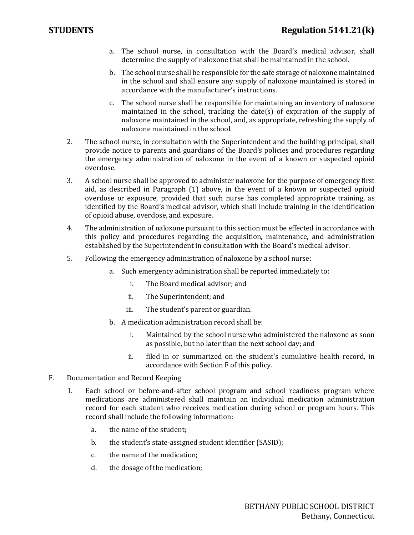- a. The school nurse, in consultation with the Board's medical advisor, shall determine the supply of naloxone that shall be maintained in the school.
- b. The school nurse shall be responsible for the safe storage of naloxone maintained in the school and shall ensure any supply of naloxone maintained is stored in accordance with the manufacturer's instructions.
- c. The school nurse shall be responsible for maintaining an inventory of naloxone maintained in the school, tracking the date(s) of expiration of the supply of naloxone maintained in the school, and, as appropriate, refreshing the supply of naloxone maintained in the school.
- 2. The school nurse, in consultation with the Superintendent and the building principal, shall provide notice to parents and guardians of the Board's policies and procedures regarding the emergency administration of naloxone in the event of a known or suspected opioid overdose.
- 3. A school nurse shall be approved to administer naloxone for the purpose of emergency first aid, as described in Paragraph (1) above, in the event of a known or suspected opioid overdose or exposure, provided that such nurse has completed appropriate training, as identified by the Board's medical advisor, which shall include training in the identification of opioid abuse, overdose, and exposure.
- 4. The administration of naloxone pursuant to this section must be effected in accordance with this policy and procedures regarding the acquisition, maintenance, and administration established by the Superintendent in consultation with the Board's medical advisor.
- 5. Following the emergency administration of naloxone by a school nurse:
	- a. Such emergency administration shall be reported immediately to:
		- i. The Board medical advisor; and
		- ii. The Superintendent; and
		- iii. The student's parent or guardian.
	- b. A medication administration record shall be:
		- i. Maintained by the school nurse who administered the naloxone as soon as possible, but no later than the next school day; and
		- ii. filed in or summarized on the student's cumulative health record, in accordance with Section F of this policy.
- F. Documentation and Record Keeping
	- 1. Each school or before-and-after school program and school readiness program where medications are administered shall maintain an individual medication administration record for each student who receives medication during school or program hours. This record shall include the following information:
		- a. the name of the student;
		- b. the student's state-assigned student identifier (SASID);
		- c. the name of the medication;
		- d. the dosage of the medication;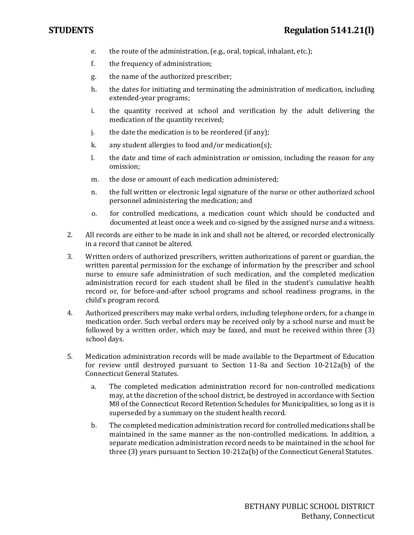- e. the route of the administration, (e.g., oral, topical, inhalant, etc.);
- f. the frequency of administration;
- g. the name of the authorized prescriber;
- h. the dates for initiating and terminating the administration of medication, including extended-year programs;
- i. the quantity received at school and verification by the adult delivering the medication of the quantity received;
- j. the date the medication is to be reordered (if any);
- k. any student allergies to food and/or medication(s);
- l. the date and time of each administration or omission, including the reason for any omission;
- m. the dose or amount of each medication administered;
- n. the full written or electronic legal signature of the nurse or other authorized school personnel administering the medication; and
- o. for controlled medications, a medication count which should be conducted and documented at least once a week and co-signed by the assigned nurse and a witness.
- 2. All records are either to be made in ink and shall not be altered, or recorded electronically in a record that cannot be altered.
- 3. Written orders of authorized prescribers, written authorizations of parent or guardian, the written parental permission for the exchange of information by the prescriber and school nurse to ensure safe administration of such medication, and the completed medication administration record for each student shall be filed in the student's cumulative health record or, for before-and-after school programs and school readiness programs, in the child's program record.
- 4. Authorized prescribers may make verbal orders, including telephone orders, for a change in medication order. Such verbal orders may be received only by a school nurse and must be followed by a written order, which may be faxed, and must be received within three (3) school days.
- 5. Medication administration records will be made available to the Department of Education for review until destroyed pursuant to Section 11-8a and Section 10-212a(b) of the Connecticut General Statutes.
	- a. The completed medication administration record for non-controlled medications may, at the discretion of the school district, be destroyed in accordance with Section M8 of the Connecticut Record Retention Schedules for Municipalities, so long as it is superseded by a summary on the student health record.
	- b. The completed medication administration record for controlled medications shall be maintained in the same manner as the non-controlled medications. In addition, a separate medication administration record needs to be maintained in the school for three (3) years pursuant to Section 10-212a(b) of the Connecticut General Statutes.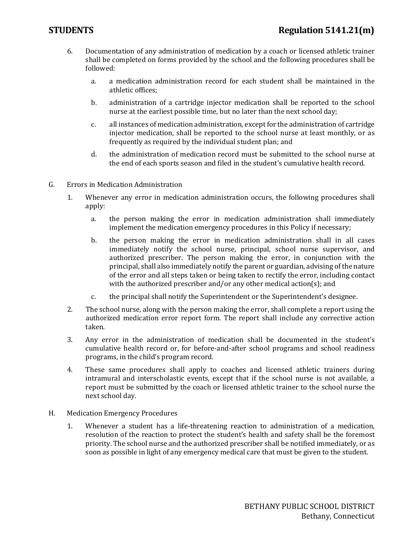- 6. Documentation of any administration of medication by a coach or licensed athletic trainer shall be completed on forms provided by the school and the following procedures shall be followed:
	- a. a medication administration record for each student shall be maintained in the athletic offices;
	- b. administration of a cartridge injector medication shall be reported to the school nurse at the earliest possible time, but no later than the next school day;
	- c. all instances of medication administration, except for the administration of cartridge injector medication, shall be reported to the school nurse at least monthly, or as frequently as required by the individual student plan; and
	- d. the administration of medication record must be submitted to the school nurse at the end of each sports season and filed in the student's cumulative health record.
- G. Errors in Medication Administration
	- 1. Whenever any error in medication administration occurs, the following procedures shall apply:
		- a. the person making the error in medication administration shall immediately implement the medication emergency procedures in this Policy if necessary;
		- b. the person making the error in medication administration shall in all cases immediately notify the school nurse, principal, school nurse supervisor, and authorized prescriber. The person making the error, in conjunction with the principal, shall also immediately notify the parent or guardian, advising of the nature of the error and all steps taken or being taken to rectify the error, including contact with the authorized prescriber and/or any other medical action(s); and
		- c. the principal shall notify the Superintendent or the Superintendent's designee.
	- 2. The school nurse, along with the person making the error, shall complete a report using the authorized medication error report form. The report shall include any corrective action taken.
	- 3. Any error in the administration of medication shall be documented in the student's cumulative health record or, for before-and-after school programs and school readiness programs, in the child's program record.
	- 4. These same procedures shall apply to coaches and licensed athletic trainers during intramural and interscholastic events, except that if the school nurse is not available, a report must be submitted by the coach or licensed athletic trainer to the school nurse the next school day.
- H. Medication Emergency Procedures
	- 1. Whenever a student has a life-threatening reaction to administration of a medication, resolution of the reaction to protect the student's health and safety shall be the foremost priority. The school nurse and the authorized prescriber shall be notified immediately, or as soon as possible in light of any emergency medical care that must be given to the student.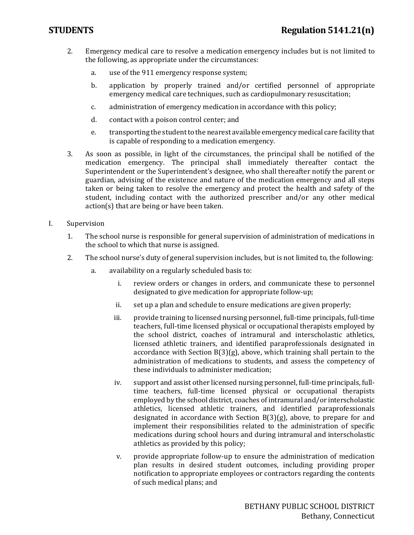- 2. Emergency medical care to resolve a medication emergency includes but is not limited to the following, as appropriate under the circumstances:
	- a. use of the 911 emergency response system;
	- b. application by properly trained and/or certified personnel of appropriate emergency medical care techniques, such as cardiopulmonary resuscitation;
	- c. administration of emergency medication in accordance with this policy;
	- d. contact with a poison control center; and
	- e. transporting the student to the nearest available emergency medical care facility that is capable of responding to a medication emergency.
- 3. As soon as possible, in light of the circumstances, the principal shall be notified of the medication emergency. The principal shall immediately thereafter contact the Superintendent or the Superintendent's designee, who shall thereafter notify the parent or guardian, advising of the existence and nature of the medication emergency and all steps taken or being taken to resolve the emergency and protect the health and safety of the student, including contact with the authorized prescriber and/or any other medical action(s) that are being or have been taken.
- I. Supervision
	- 1. The school nurse is responsible for general supervision of administration of medications in the school to which that nurse is assigned.
	- 2. The school nurse's duty of general supervision includes, but is not limited to, the following:
		- a. availability on a regularly scheduled basis to:
			- i. review orders or changes in orders, and communicate these to personnel designated to give medication for appropriate follow-up;
			- ii. set up a plan and schedule to ensure medications are given properly;
			- iii. provide training to licensed nursing personnel, full-time principals, full-time teachers, full-time licensed physical or occupational therapists employed by the school district, coaches of intramural and interscholastic athletics, licensed athletic trainers, and identified paraprofessionals designated in accordance with Section  $B(3)(g)$ , above, which training shall pertain to the administration of medications to students, and assess the competency of these individuals to administer medication;
			- iv. support and assist other licensed nursing personnel, full-time principals, fulltime teachers, full-time licensed physical or occupational therapists employed by the school district, coaches of intramural and/or interscholastic athletics, licensed athletic trainers, and identified paraprofessionals designated in accordance with Section  $B(3)(g)$ , above, to prepare for and implement their responsibilities related to the administration of specific medications during school hours and during intramural and interscholastic athletics as provided by this policy;
			- v. provide appropriate follow-up to ensure the administration of medication plan results in desired student outcomes, including providing proper notification to appropriate employees or contractors regarding the contents of such medical plans; and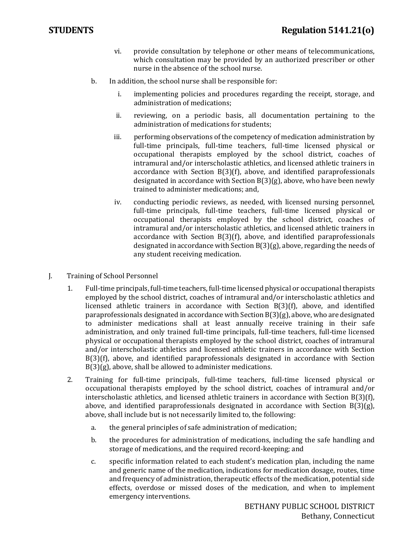- vi. provide consultation by telephone or other means of telecommunications, which consultation may be provided by an authorized prescriber or other nurse in the absence of the school nurse.
- b. In addition, the school nurse shall be responsible for:
	- i. implementing policies and procedures regarding the receipt, storage, and administration of medications;
	- ii. reviewing, on a periodic basis, all documentation pertaining to the administration of medications for students;
	- iii. performing observations of the competency of medication administration by full-time principals, full-time teachers, full-time licensed physical or occupational therapists employed by the school district, coaches of intramural and/or interscholastic athletics, and licensed athletic trainers in accordance with Section B(3)(f), above, and identified paraprofessionals designated in accordance with Section B(3)(g), above, who have been newly trained to administer medications; and,
	- iv. conducting periodic reviews, as needed, with licensed nursing personnel, full-time principals, full-time teachers, full-time licensed physical or occupational therapists employed by the school district, coaches of intramural and/or interscholastic athletics, and licensed athletic trainers in accordance with Section B(3)(f), above, and identified paraprofessionals designated in accordance with Section B(3)(g), above, regarding the needs of any student receiving medication.
- J. Training of School Personnel
	- 1. Full-time principals, full-time teachers, full-time licensed physical or occupational therapists employed by the school district, coaches of intramural and/or interscholastic athletics and licensed athletic trainers in accordance with Section B(3)(f), above, and identified paraprofessionals designated in accordance with Section B(3)(g), above, who are designated to administer medications shall at least annually receive training in their safe administration, and only trained full-time principals, full-time teachers, full-time licensed physical or occupational therapists employed by the school district, coaches of intramural and/or interscholastic athletics and licensed athletic trainers in accordance with Section B(3)(f), above, and identified paraprofessionals designated in accordance with Section B(3)(g), above, shall be allowed to administer medications.
	- 2. Training for full-time principals, full-time teachers, full-time licensed physical or occupational therapists employed by the school district, coaches of intramural and/or interscholastic athletics, and licensed athletic trainers in accordance with Section B(3)(f), above, and identified paraprofessionals designated in accordance with Section B(3)(g), above, shall include but is not necessarily limited to, the following:
		- a. the general principles of safe administration of medication;
		- b. the procedures for administration of medications, including the safe handling and storage of medications, and the required record-keeping; and
		- c. specific information related to each student's medication plan, including the name and generic name of the medication, indications for medication dosage, routes, time and frequency of administration, therapeutic effects of the medication, potential side effects, overdose or missed doses of the medication, and when to implement emergency interventions.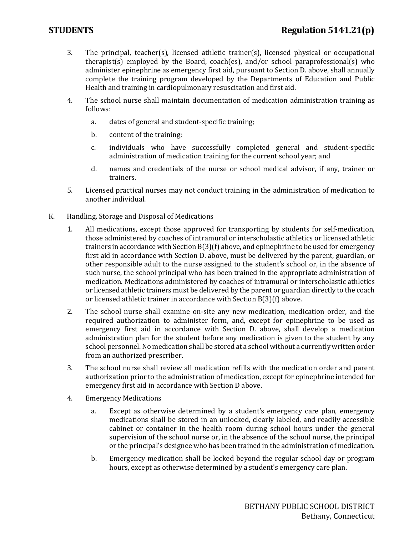- 3. The principal, teacher(s), licensed athletic trainer(s), licensed physical or occupational therapist(s) employed by the Board, coach(es), and/or school paraprofessional(s) who administer epinephrine as emergency first aid, pursuant to Section D. above, shall annually complete the training program developed by the Departments of Education and Public Health and training in cardiopulmonary resuscitation and first aid.
- 4. The school nurse shall maintain documentation of medication administration training as follows:
	- a. dates of general and student-specific training;
	- b. content of the training;
	- c. individuals who have successfully completed general and student-specific administration of medication training for the current school year; and
	- d. names and credentials of the nurse or school medical advisor, if any, trainer or trainers.
- 5. Licensed practical nurses may not conduct training in the administration of medication to another individual.
- K. Handling, Storage and Disposal of Medications
	- 1. All medications, except those approved for transporting by students for self-medication, those administered by coaches of intramural or interscholastic athletics or licensed athletic trainers in accordance with Section B(3)(f) above, and epinephrine to be used for emergency first aid in accordance with Section D. above, must be delivered by the parent, guardian, or other responsible adult to the nurse assigned to the student's school or, in the absence of such nurse, the school principal who has been trained in the appropriate administration of medication. Medications administered by coaches of intramural or interscholastic athletics or licensed athletic trainers must be delivered by the parent or guardian directly to the coach or licensed athletic trainer in accordance with Section B(3)(f) above.
	- 2. The school nurse shall examine on-site any new medication, medication order, and the required authorization to administer form, and, except for epinephrine to be used as emergency first aid in accordance with Section D. above, shall develop a medication administration plan for the student before any medication is given to the student by any school personnel. No medication shall be stored at a school without a currently written order from an authorized prescriber.
	- 3. The school nurse shall review all medication refills with the medication order and parent authorization prior to the administration of medication, except for epinephrine intended for emergency first aid in accordance with Section D above.
	- 4. Emergency Medications
		- a. Except as otherwise determined by a student's emergency care plan, emergency medications shall be stored in an unlocked, clearly labeled, and readily accessible cabinet or container in the health room during school hours under the general supervision of the school nurse or, in the absence of the school nurse, the principal or the principal's designee who has been trained in the administration of medication.
		- b. Emergency medication shall be locked beyond the regular school day or program hours, except as otherwise determined by a student's emergency care plan.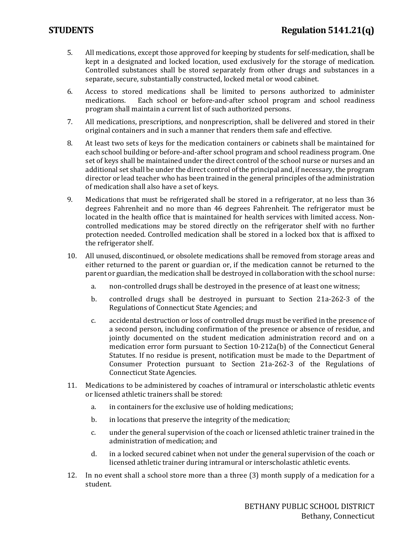- 5. All medications, except those approved for keeping by students for self-medication, shall be kept in a designated and locked location, used exclusively for the storage of medication. Controlled substances shall be stored separately from other drugs and substances in a separate, secure, substantially constructed, locked metal or wood cabinet.
- 6. Access to stored medications shall be limited to persons authorized to administer Each school or before-and-after school program and school readiness program shall maintain a current list of such authorized persons.
- 7. All medications, prescriptions, and nonprescription, shall be delivered and stored in their original containers and in such a manner that renders them safe and effective.
- 8. At least two sets of keys for the medication containers or cabinets shall be maintained for each school building or before-and-after school program and school readiness program. One set of keys shall be maintained under the direct control of the school nurse or nurses and an additional set shall be under the direct control of the principal and, if necessary, the program director or lead teacher who has been trained in the general principles of the administration of medication shall also have a set of keys.
- 9. Medications that must be refrigerated shall be stored in a refrigerator, at no less than 36 degrees Fahrenheit and no more than 46 degrees Fahrenheit. The refrigerator must be located in the health office that is maintained for health services with limited access. Noncontrolled medications may be stored directly on the refrigerator shelf with no further protection needed. Controlled medication shall be stored in a locked box that is affixed to the refrigerator shelf.
- 10. All unused, discontinued, or obsolete medications shall be removed from storage areas and either returned to the parent or guardian or, if the medication cannot be returned to the parent or guardian, the medication shall be destroyed in collaboration with the school nurse:
	- a. non-controlled drugs shall be destroyed in the presence of at least one witness;
	- b. controlled drugs shall be destroyed in pursuant to Section 21a-262-3 of the Regulations of Connecticut State Agencies; and
	- c. accidental destruction or loss of controlled drugs must be verified in the presence of a second person, including confirmation of the presence or absence of residue, and jointly documented on the student medication administration record and on a medication error form pursuant to Section 10-212a(b) of the Connecticut General Statutes. If no residue is present, notification must be made to the Department of Consumer Protection pursuant to Section 21a-262-3 of the Regulations of Connecticut State Agencies.
- 11. Medications to be administered by coaches of intramural or interscholastic athletic events or licensed athletic trainers shall be stored:
	- a. in containers for the exclusive use of holding medications;
	- b. in locations that preserve the integrity of the medication;
	- c. under the general supervision of the coach or licensed athletic trainer trained in the administration of medication; and
	- d. in a locked secured cabinet when not under the general supervision of the coach or licensed athletic trainer during intramural or interscholastic athletic events.
- 12. In no event shall a school store more than a three (3) month supply of a medication for a student.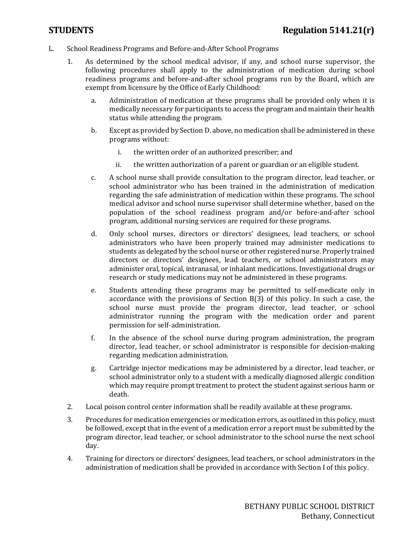- L. School Readiness Programs and Before-and-After School Programs
	- 1. As determined by the school medical advisor, if any, and school nurse supervisor, the following procedures shall apply to the administration of medication during school readiness programs and before-and-after school programs run by the Board, which are exempt from licensure by the Office of Early Childhood:
		- a. Administration of medication at these programs shall be provided only when it is medically necessary for participants to access the program and maintain their health status while attending the program.
		- b. Except as provided by Section D. above, no medication shall be administered in these programs without:
			- i. the written order of an authorized prescriber; and
			- ii. the written authorization of a parent or guardian or an eligible student.
		- c. A school nurse shall provide consultation to the program director, lead teacher, or school administrator who has been trained in the administration of medication regarding the safe administration of medication within these programs. The school medical advisor and school nurse supervisor shall determine whether, based on the population of the school readiness program and/or before-and-after school program, additional nursing services are required for these programs.
		- d. Only school nurses, directors or directors' designees, lead teachers, or school administrators who have been properly trained may administer medications to students as delegated by the school nurse or other registered nurse. Properly trained directors or directors' designees, lead teachers, or school administrators may administer oral, topical, intranasal, or inhalant medications. Investigational drugs or research or study medications may not be administered in these programs.
		- e. Students attending these programs may be permitted to self-medicate only in accordance with the provisions of Section B(3) of this policy. In such a case, the school nurse must provide the program director, lead teacher, or school administrator running the program with the medication order and parent permission for self-administration.
		- f. In the absence of the school nurse during program administration, the program director, lead teacher, or school administrator is responsible for decision-making regarding medication administration.
		- g. Cartridge injector medications may be administered by a director, lead teacher, or school administrator only to a student with a medically diagnosed allergic condition which may require prompt treatment to protect the student against serious harm or death.
	- 2. Local poison control center information shall be readily available at these programs.
	- 3. Procedures for medication emergencies or medication errors, as outlined in this policy, must be followed, except that in the event of a medication error a report must be submitted by the program director, lead teacher, or school administrator to the school nurse the next school day.
	- 4. Training for directors or directors' designees, lead teachers, or school administrators in the administration of medication shall be provided in accordance with Section I of this policy.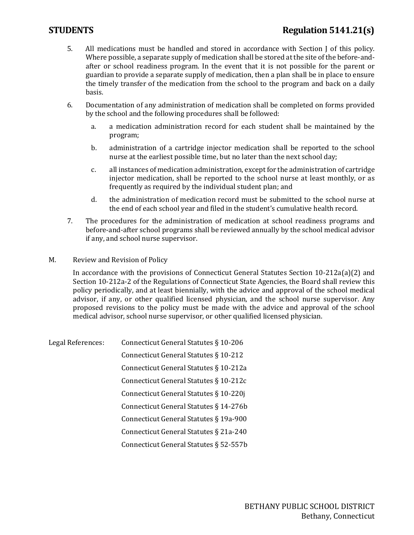# **STUDENTS Regulation 5141.21(s)**

- 5. All medications must be handled and stored in accordance with Section J of this policy. Where possible, a separate supply of medication shall be stored at the site of the before-andafter or school readiness program. In the event that it is not possible for the parent or guardian to provide a separate supply of medication, then a plan shall be in place to ensure the timely transfer of the medication from the school to the program and back on a daily basis.
- 6. Documentation of any administration of medication shall be completed on forms provided by the school and the following procedures shall be followed:
	- a. a medication administration record for each student shall be maintained by the program;
	- b. administration of a cartridge injector medication shall be reported to the school nurse at the earliest possible time, but no later than the next school day;
	- c. all instances of medication administration, except for the administration of cartridge injector medication, shall be reported to the school nurse at least monthly, or as frequently as required by the individual student plan; and
	- d. the administration of medication record must be submitted to the school nurse at the end of each school year and filed in the student's cumulative health record.
- 7. The procedures for the administration of medication at school readiness programs and before-and-after school programs shall be reviewed annually by the school medical advisor if any, and school nurse supervisor.
- M. Review and Revision of Policy

In accordance with the provisions of Connecticut General Statutes Section 10-212a(a)(2) and Section 10-212a-2 of the Regulations of Connecticut State Agencies, the Board shall review this policy periodically, and at least biennially, with the advice and approval of the school medical advisor, if any, or other qualified licensed physician, and the school nurse supervisor. Any proposed revisions to the policy must be made with the advice and approval of the school medical advisor, school nurse supervisor, or other qualified licensed physician.

| Legal References: | Connecticut General Statutes § 10-206  |
|-------------------|----------------------------------------|
|                   | Connecticut General Statutes § 10-212  |
|                   | Connecticut General Statutes § 10-212a |
|                   | Connecticut General Statutes § 10-212c |
|                   | Connecticut General Statutes § 10-220j |
|                   | Connecticut General Statutes § 14-276b |
|                   | Connecticut General Statutes § 19a-900 |
|                   | Connecticut General Statutes § 21a-240 |
|                   | Connecticut General Statutes § 52-557b |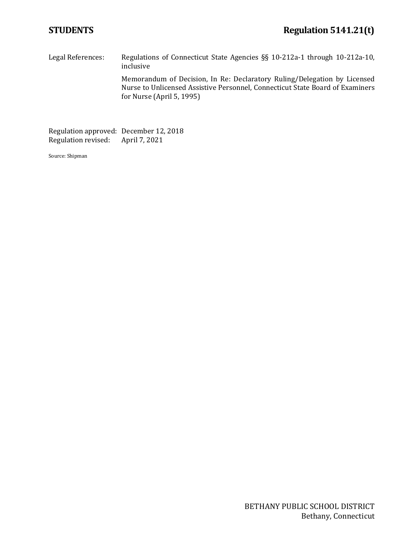Legal References: Regulations of Connecticut State Agencies §§ 10-212a-1 through 10-212a-10, inclusive Memorandum of Decision, In Re: Declaratory Ruling/Delegation by Licensed Nurse to Unlicensed Assistive Personnel, Connecticut State Board of Examiners for Nurse (April 5, 1995)

Regulation approved: December 12, 2018<br>Regulation revised: April 7, 2021 Regulation revised:

Source: Shipman